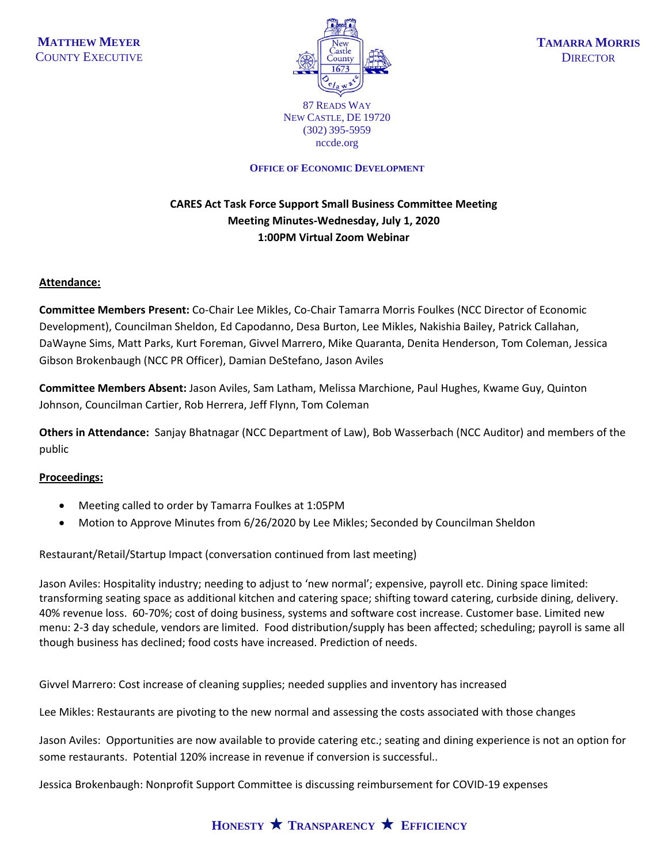

NEW CASTLE, DE 19720 (302) 395-5959 nccde.org

#### **OFFICE OF ECONOMIC DEVELOPMENT**

# **CARES Act Task Force Support Small Business Committee Meeting Meeting Minutes-Wednesday, July 1, 2020 1:00PM Virtual Zoom Webinar**

#### **Attendance:**

**Committee Members Present:** Co-Chair Lee Mikles, Co-Chair Tamarra Morris Foulkes (NCC Director of Economic Development), Councilman Sheldon, Ed Capodanno, Desa Burton, Lee Mikles, Nakishia Bailey, Patrick Callahan, DaWayne Sims, Matt Parks, Kurt Foreman, Givvel Marrero, Mike Quaranta, Denita Henderson, Tom Coleman, Jessica Gibson Brokenbaugh (NCC PR Officer), Damian DeStefano, Jason Aviles

**Committee Members Absent:** Jason Aviles, Sam Latham, Melissa Marchione, Paul Hughes, Kwame Guy, Quinton Johnson, Councilman Cartier, Rob Herrera, Jeff Flynn, Tom Coleman

**Others in Attendance:** Sanjay Bhatnagar (NCC Department of Law), Bob Wasserbach (NCC Auditor) and members of the public

## **Proceedings:**

- Meeting called to order by Tamarra Foulkes at 1:05PM
- Motion to Approve Minutes from 6/26/2020 by Lee Mikles; Seconded by Councilman Sheldon

Restaurant/Retail/Startup Impact (conversation continued from last meeting)

Jason Aviles: Hospitality industry; needing to adjust to 'new normal'; expensive, payroll etc. Dining space limited: transforming seating space as additional kitchen and catering space; shifting toward catering, curbside dining, delivery. 40% revenue loss. 60-70%; cost of doing business, systems and software cost increase. Customer base. Limited new menu: 2-3 day schedule, vendors are limited. Food distribution/supply has been affected; scheduling; payroll is same all though business has declined; food costs have increased. Prediction of needs.

Givvel Marrero: Cost increase of cleaning supplies; needed supplies and inventory has increased

Lee Mikles: Restaurants are pivoting to the new normal and assessing the costs associated with those changes

Jason Aviles: Opportunities are now available to provide catering etc.; seating and dining experience is not an option for some restaurants. Potential 120% increase in revenue if conversion is successful..

Jessica Brokenbaugh: Nonprofit Support Committee is discussing reimbursement for COVID-19 expenses

# **HONESTY TRANSPARENCY EFFICIENCY**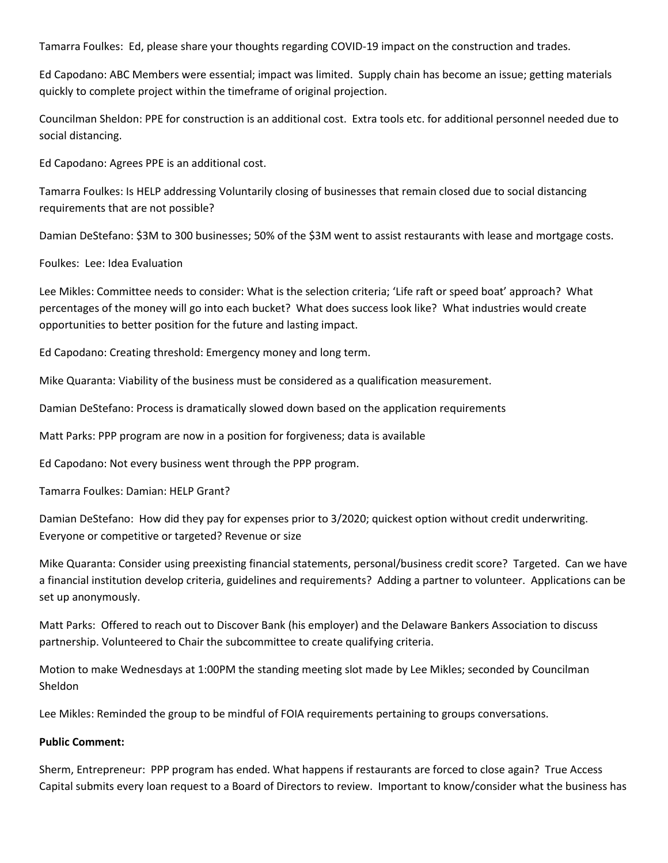Tamarra Foulkes: Ed, please share your thoughts regarding COVID-19 impact on the construction and trades.

Ed Capodano: ABC Members were essential; impact was limited. Supply chain has become an issue; getting materials quickly to complete project within the timeframe of original projection.

Councilman Sheldon: PPE for construction is an additional cost. Extra tools etc. for additional personnel needed due to social distancing.

Ed Capodano: Agrees PPE is an additional cost.

Tamarra Foulkes: Is HELP addressing Voluntarily closing of businesses that remain closed due to social distancing requirements that are not possible?

Damian DeStefano: \$3M to 300 businesses; 50% of the \$3M went to assist restaurants with lease and mortgage costs.

Foulkes: Lee: Idea Evaluation

Lee Mikles: Committee needs to consider: What is the selection criteria; 'Life raft or speed boat' approach? What percentages of the money will go into each bucket? What does success look like? What industries would create opportunities to better position for the future and lasting impact.

Ed Capodano: Creating threshold: Emergency money and long term.

Mike Quaranta: Viability of the business must be considered as a qualification measurement.

Damian DeStefano: Process is dramatically slowed down based on the application requirements

Matt Parks: PPP program are now in a position for forgiveness; data is available

Ed Capodano: Not every business went through the PPP program.

Tamarra Foulkes: Damian: HELP Grant?

Damian DeStefano: How did they pay for expenses prior to 3/2020; quickest option without credit underwriting. Everyone or competitive or targeted? Revenue or size

Mike Quaranta: Consider using preexisting financial statements, personal/business credit score? Targeted. Can we have a financial institution develop criteria, guidelines and requirements? Adding a partner to volunteer. Applications can be set up anonymously.

Matt Parks: Offered to reach out to Discover Bank (his employer) and the Delaware Bankers Association to discuss partnership. Volunteered to Chair the subcommittee to create qualifying criteria.

Motion to make Wednesdays at 1:00PM the standing meeting slot made by Lee Mikles; seconded by Councilman Sheldon

Lee Mikles: Reminded the group to be mindful of FOIA requirements pertaining to groups conversations.

#### **Public Comment:**

Sherm, Entrepreneur: PPP program has ended. What happens if restaurants are forced to close again? True Access Capital submits every loan request to a Board of Directors to review. Important to know/consider what the business has